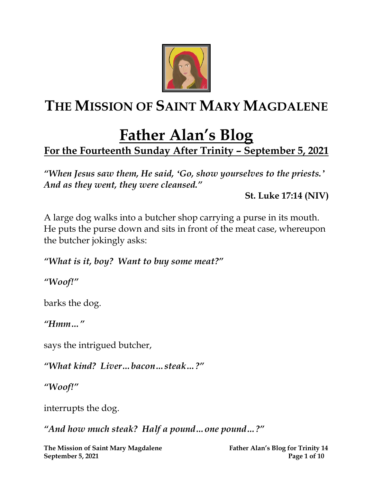

# **THE MISSION OF SAINT MARY MAGDALENE**

# **Father Alan's Blog**

## **For the Fourteenth Sunday After Trinity – September 5, 2021**

*"When Jesus saw them, He said, ʻGo, show yourselves to the priests.' And as they went, they were cleansed."* 

**St. Luke 17:14 (NIV)**

A large dog walks into a butcher shop carrying a purse in its mouth. He puts the purse down and sits in front of the meat case, whereupon the butcher jokingly asks:

*"What is it, boy? Want to buy some meat?"*

*"Woof!"*

barks the dog.

*"Hmm…"*

says the intrigued butcher,

*"What kind? Liver…bacon…steak…?"*

*"Woof!"*

interrupts the dog.

*"And how much steak? Half a pound…one pound…?"*

**The Mission of Saint Mary Magdalene Father Alan's Blog for Trinity 14 September 5, 2021 Page 1 of 10**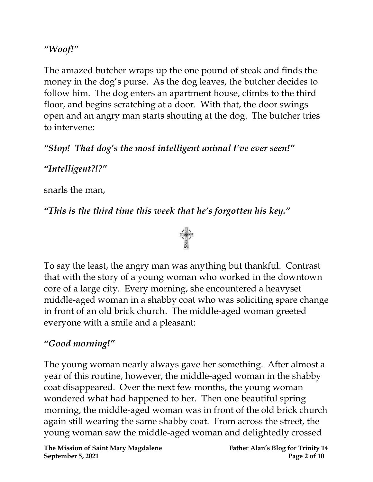#### *"Woof!"*

The amazed butcher wraps up the one pound of steak and finds the money in the dog's purse. As the dog leaves, the butcher decides to follow him. The dog enters an apartment house, climbs to the third floor, and begins scratching at a door. With that, the door swings open and an angry man starts shouting at the dog. The butcher tries to intervene:

*"Stop! That dog's the most intelligent animal I've ever seen!"*

#### *"Intelligent?!?"*

snarls the man,

#### *"This is the third time this week that he's forgotten his key."*



To say the least, the angry man was anything but thankful. Contrast that with the story of a young woman who worked in the downtown core of a large city. Every morning, she encountered a heavyset middle-aged woman in a shabby coat who was soliciting spare change in front of an old brick church. The middle-aged woman greeted everyone with a smile and a pleasant:

#### *"Good morning!"*

The young woman nearly always gave her something. After almost a year of this routine, however, the middle-aged woman in the shabby coat disappeared. Over the next few months, the young woman wondered what had happened to her. Then one beautiful spring morning, the middle-aged woman was in front of the old brick church again still wearing the same shabby coat. From across the street, the young woman saw the middle-aged woman and delightedly crossed

**The Mission of Saint Mary Magdalene Father Alan's Blog for Trinity 14 September 5, 2021 Page 2** of 10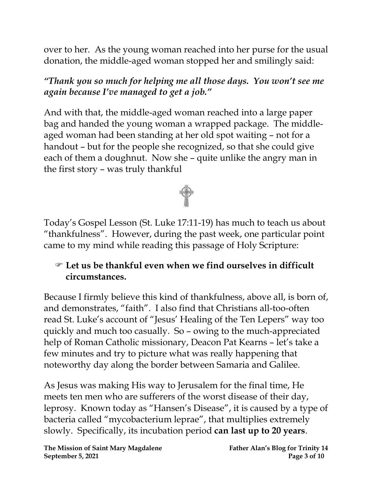over to her. As the young woman reached into her purse for the usual donation, the middle-aged woman stopped her and smilingly said:

*"Thank you so much for helping me all those days. You won't see me again because I've managed to get a job."*

And with that, the middle-aged woman reached into a large paper bag and handed the young woman a wrapped package. The middleaged woman had been standing at her old spot waiting – not for a handout – but for the people she recognized, so that she could give each of them a doughnut. Now she – quite unlike the angry man in the first story – was truly thankful



Today's Gospel Lesson (St. Luke 17:11-19) has much to teach us about "thankfulness". However, during the past week, one particular point came to my mind while reading this passage of Holy Scripture:

#### **Let us be thankful even when we find ourselves in difficult circumstances.**

Because I firmly believe this kind of thankfulness, above all, is born of, and demonstrates, "faith". I also find that Christians all-too-often read St. Luke's account of "Jesus' Healing of the Ten Lepers" way too quickly and much too casually. So – owing to the much-appreciated help of Roman Catholic missionary, Deacon Pat Kearns – let's take a few minutes and try to picture what was really happening that noteworthy day along the border between Samaria and Galilee.

As Jesus was making His way to Jerusalem for the final time, He meets ten men who are sufferers of the worst disease of their day, leprosy. Known today as "Hansen's Disease", it is caused by a type of bacteria called "mycobacterium leprae", that multiplies extremely slowly. Specifically, its incubation period **can last up to 20 years**.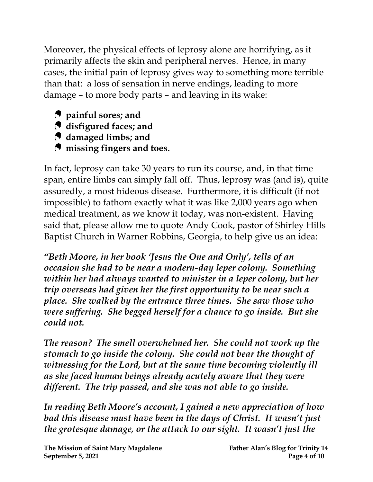Moreover, the physical effects of leprosy alone are horrifying, as it primarily affects the skin and peripheral nerves. Hence, in many cases, the initial pain of leprosy gives way to something more terrible than that: a loss of sensation in nerve endings, leading to more damage – to more body parts – and leaving in its wake:

- **painful sores; and**
- **disfigured faces; and**
- **damaged limbs; and**
- **P** missing fingers and toes.

In fact, leprosy can take 30 years to run its course, and, in that time span, entire limbs can simply fall off. Thus, leprosy was (and is), quite assuredly, a most hideous disease. Furthermore, it is difficult (if not impossible) to fathom exactly what it was like 2,000 years ago when medical treatment, as we know it today, was non-existent. Having said that, please allow me to quote Andy Cook, pastor of Shirley Hills Baptist Church in Warner Robbins, Georgia, to help give us an idea:

*"Beth Moore, in her book 'Jesus the One and Only', tells of an occasion she had to be near a modern-day leper colony. Something within her had always wanted to minister in a leper colony, but her trip overseas had given her the first opportunity to be near such a place. She walked by the entrance three times. She saw those who were suffering. She begged herself for a chance to go inside. But she could not.*

*The reason? The smell overwhelmed her. She could not work up the stomach to go inside the colony. She could not bear the thought of witnessing for the Lord, but at the same time becoming violently ill as she faced human beings already acutely aware that they were different. The trip passed, and she was not able to go inside.*

*In reading Beth Moore's account, I gained a new appreciation of how bad this disease must have been in the days of Christ. It wasn't just the grotesque damage, or the attack to our sight. It wasn't just the*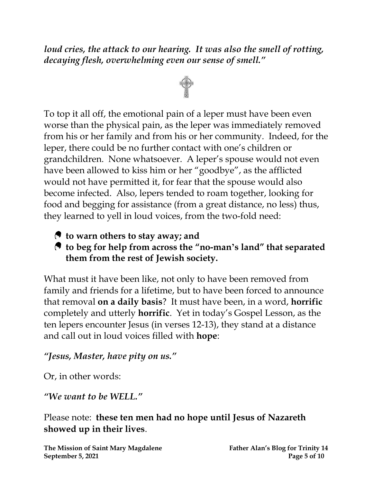*loud cries, the attack to our hearing. It was also the smell of rotting, decaying flesh, overwhelming even our sense of smell."*



To top it all off, the emotional pain of a leper must have been even worse than the physical pain, as the leper was immediately removed from his or her family and from his or her community. Indeed, for the leper, there could be no further contact with one's children or grandchildren. None whatsoever. A leper's spouse would not even have been allowed to kiss him or her "goodbye", as the afflicted would not have permitted it, for fear that the spouse would also become infected. Also, lepers tended to roam together, looking for food and begging for assistance (from a great distance, no less) thus, they learned to yell in loud voices, from the two-fold need:

- **to warn others to stay away; and**
- **to beg for help from across the "no-man's land" that separated them from the rest of Jewish society.**

What must it have been like, not only to have been removed from family and friends for a lifetime, but to have been forced to announce that removal **on a daily basis**? It must have been, in a word, **horrific** completely and utterly **horrific**. Yet in today's Gospel Lesson, as the ten lepers encounter Jesus (in verses 12-13), they stand at a distance and call out in loud voices filled with **hope**:

#### *"Jesus, Master, have pity on us."*

Or, in other words:

*"We want to be WELL."*

Please note: **these ten men had no hope until Jesus of Nazareth showed up in their lives**.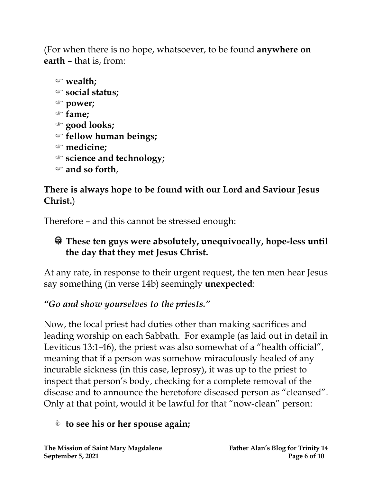(For when there is no hope, whatsoever, to be found **anywhere on earth** – that is, from:

```
 wealth;
social status;
power;
fame;
good looks;
fellow human beings;
medicine;
science and technology;
and so forth,
```
## **There is always hope to be found with our Lord and Saviour Jesus Christ.**)

Therefore – and this cannot be stressed enough:

### **These ten guys were absolutely, unequivocally, hope-less until the day that they met Jesus Christ.**

At any rate, in response to their urgent request, the ten men hear Jesus say something (in verse 14b) seemingly **unexpected**:

## *"Go and show yourselves to the priests."*

Now, the local priest had duties other than making sacrifices and leading worship on each Sabbath. For example (as laid out in detail in Leviticus 13:1-46), the priest was also somewhat of a "health official", meaning that if a person was somehow miraculously healed of any incurable sickness (in this case, leprosy), it was up to the priest to inspect that person's body, checking for a complete removal of the disease and to announce the heretofore diseased person as "cleansed". Only at that point, would it be lawful for that "now-clean" person:

## **to see his or her spouse again;**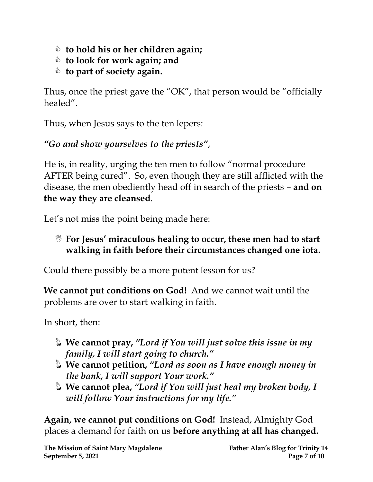- **to hold his or her children again;**
- **to look for work again; and**
- **to part of society again.**

Thus, once the priest gave the "OK", that person would be "officially healed".

Thus, when Jesus says to the ten lepers:

*"Go and show yourselves to the priests"*,

He is, in reality, urging the ten men to follow "normal procedure AFTER being cured". So, even though they are still afflicted with the disease, the men obediently head off in search of the priests – **and on the way they are cleansed**.

Let's not miss the point being made here:

 **For Jesus' miraculous healing to occur, these men had to start walking in faith before their circumstances changed one iota.**

Could there possibly be a more potent lesson for us?

**We cannot put conditions on God!** And we cannot wait until the problems are over to start walking in faith.

In short, then:

- **We cannot pray,** *"Lord if You will just solve this issue in my family, I will start going to church."*
- **We cannot petition,**  *"Lord as soon as I have enough money in the bank, I will support Your work."*
- **We cannot plea,** *"Lord if You will just heal my broken body, I will follow Your instructions for my life."*

**Again, we cannot put conditions on God!** Instead, Almighty God places a demand for faith on us **before anything at all has changed.**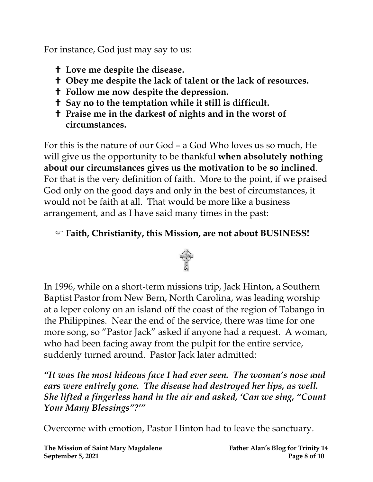For instance, God just may say to us:

- **Love me despite the disease.**
- **Obey me despite the lack of talent or the lack of resources.**
- **Follow me now despite the depression.**
- **Say no to the temptation while it still is difficult.**
- **Praise me in the darkest of nights and in the worst of circumstances.**

For this is the nature of our God – a God Who loves us so much, He will give us the opportunity to be thankful **when absolutely nothing about our circumstances gives us the motivation to be so inclined**. For that is the very definition of faith. More to the point, if we praised God only on the good days and only in the best of circumstances, it would not be faith at all. That would be more like a business arrangement, and as I have said many times in the past:

### **Faith, Christianity, this Mission, are not about BUSINESS!**



In 1996, while on a short-term missions trip, Jack Hinton, a Southern Baptist Pastor from New Bern, North Carolina, was leading worship at a leper colony on an island off the coast of the region of Tabango in the Philippines. Near the end of the service, there was time for one more song, so "Pastor Jack" asked if anyone had a request. A woman, who had been facing away from the pulpit for the entire service, suddenly turned around. Pastor Jack later admitted:

*"It was the most hideous face I had ever seen. The woman's nose and ears were entirely gone. The disease had destroyed her lips, as well. She lifted a fingerless hand in the air and asked, 'Can we sing, "Count Your Many Blessings"?'"*

Overcome with emotion, Pastor Hinton had to leave the sanctuary.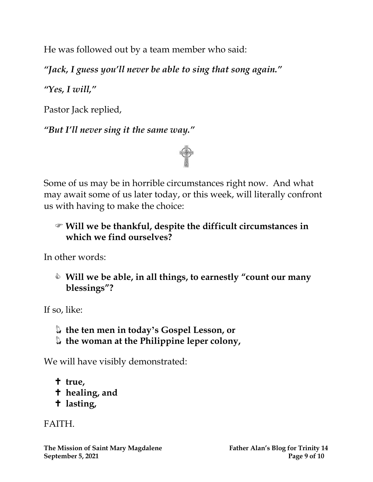He was followed out by a team member who said:

*"Jack, I guess you'll never be able to sing that song again."*

*"Yes, I will, "*

Pastor Jack replied,

*"But I'll never sing it the same way."*



Some of us may be in horrible circumstances right now. And what may await some of us later today, or this week, will literally confront us with having to make the choice:

#### **Will we be thankful, despite the difficult circumstances in which we find ourselves?**

In other words:

 **Will we be able, in all things, to earnestly "count our many blessings"?**

If so, like:

- **the ten men in today's Gospel Lesson, or**
- **the woman at the Philippine leper colony,**

We will have visibly demonstrated:

- **true, healing, and**
- **lasting,**

FAITH.